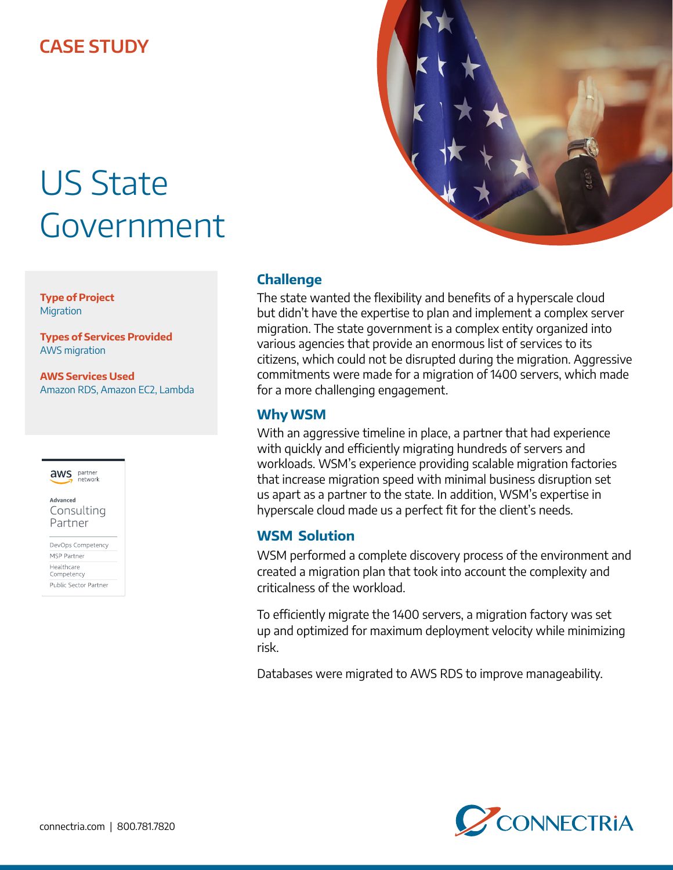## **CASE STUDY**

# US State Government

**Type of Project Migration** 

**Types of Services Provided** AWS migration

**AWS Services Used** Amazon RDS, Amazon EC2, Lambda



Advanced Consulting Partner

DevOps Competency MSP Partner Healthcare Competency Public Sector Partner

### **Challenge**

The state wanted the flexibility and benefits of a hyperscale cloud but didn't have the expertise to plan and implement a complex server migration. The state government is a complex entity organized into various agencies that provide an enormous list of services to its citizens, which could not be disrupted during the migration. Aggressive commitments were made for a migration of 1400 servers, which made for a more challenging engagement.

#### **Why WSM**

With an aggressive timeline in place, a partner that had experience with quickly and efficiently migrating hundreds of servers and workloads. WSM's experience providing scalable migration factories that increase migration speed with minimal business disruption set us apart as a partner to the state. In addition, WSM's expertise in hyperscale cloud made us a perfect fit for the client's needs.

#### **WSM Solution**

WSM performed a complete discovery process of the environment and created a migration plan that took into account the complexity and criticalness of the workload.

To efficiently migrate the 1400 servers, a migration factory was set up and optimized for maximum deployment velocity while minimizing risk.

Databases were migrated to AWS RDS to improve manageability.